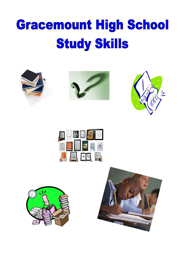# Gracemount High School **Study Skills**











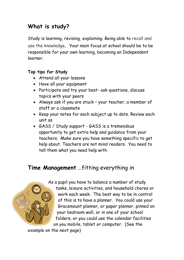# **What is study?**

Study is learning, revising, explaining. Being able to recall and use the knowledge. Your main focus at school should be to be responsible for your own learning, becoming an Independent learner.

#### **Top tips for Study**

- Attend all your lessons
- Have all your equipment
- Participate and try your best- ask questions, discuss topics with your peers
- Always ask if you are stuck your teacher, a member of staff or a classmate
- Keep your notes for each subject up to date. Review each unit as
- GASS / Study support GASS is a tremendous opportunity to get extra help and guidance from your teachers. Make sure you have something specific to get help about. Teachers are not mind readers. You need to tell them what you need help with.

#### **Time Management** …fitting everything in



As a pupil you have to balance a number of study tasks, leisure activities, and household chores or work each week. The best way to be in control of this is to have a planner. You could use your Gracemount planner, or paper planner, pinned on your bedroom wall, or in one of your school folders, or you could use the calendar facilities on you mobile, tablet or computer. (See the

example on the next page)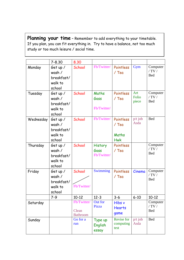**Planning your time** – Remember to add everything to your timetable. If you plan, you can fit everything in. Try to have a balance, not too much study or too much leisure / social time.

|           | $7 - 8.30$                                            | 8.30                                    |                                       |                                             |                       |                                    |
|-----------|-------------------------------------------------------|-----------------------------------------|---------------------------------------|---------------------------------------------|-----------------------|------------------------------------|
| Monday    | Get up /<br>wash /<br>breakfast/<br>walk to<br>school | School                                  | Fb/Twitter/                           | Pointless<br>/ Tea                          | Gym                   | Computer<br>/ $TV/$<br><b>Bed</b>  |
| Tuesday   | Get up /<br>wash /<br>breakfast/<br>walk to<br>school | School                                  | Maths<br>Gass<br>Fb/Twitter/          | Pointless<br>/ Tea                          | Art<br>Folio<br>piece | Computer<br>/ $TV/$<br><b>Bed</b>  |
| Wednesday | Get up /<br>wash /<br>breakfast/<br>walk to<br>school | School                                  | Fb/Twitter/                           | Pointless<br>$/$ Tea<br>Maths<br><b>Hwk</b> | $p/t$ job<br>Asda     | <b>Bed</b>                         |
| Thursday  | Get up /<br>wash/<br>breakfast/<br>walk to<br>school  | School                                  | <b>History</b><br>Gass<br>Fb/Twitter/ | Pointless<br>$/$ Tea                        |                       | Computer<br>/ $TV$ /<br><b>Bed</b> |
| Friday    | Get up /<br>wash /<br>breakfast/<br>walk to<br>school | School<br>Fb/Twitter/                   | <b>Swimming</b>                       | Pointless<br>$/$ Tea                        | Cinema                | Computer<br>/ TV $/$<br><b>Bed</b> |
|           | $7-9$                                                 | $10-12$                                 | $12 - 3$                              | $3 - 6$                                     | $6 - 10$              | $10 - 12$                          |
| Saturday  |                                                       | Fb/Twitter/<br>Clean<br><b>Bathroom</b> | Out for<br>Pizza                      | Hibs v<br><b>Hearts</b><br>game             |                       | Computer<br>/ TV $/$<br><b>Bed</b> |
| Sunday    |                                                       | Go for a<br>run                         | Type up<br>English<br>essay           | Revise for<br>computing<br>test             | $p/t$ job<br>Asda     | <b>Bed</b>                         |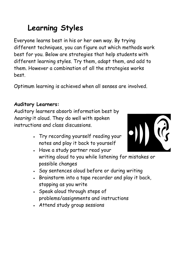# **Learning Styles**

Everyone learns best in his or her own way. By trying different techniques, you can figure out which methods work best for you. Below are strategies that help students with different learning styles. Try them, adapt them, and add to them. However a combination of all the strategies works best.

Optimum learning is achieved when all senses are involved.

#### **Auditory Learners:**

Auditory learners absorb information best by hearing it aloud. They do well with spoken instructions and class discussions.

> Try recording yourself reading your notes and play it back to yourself



- Say sentences aloud before or during writing
- Brainstorm into a tape recorder and play it back, stopping as you write
- . Speak aloud through steps of problems/assignments and instructions
- Attend study group sessions

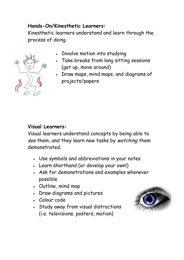#### **Hands-On/Kinesthetic Learners:**

Kinesthetic learners understand and learn through the process of doing.



- Involve motion into studying
- Take breaks from long sitting sessions (get up, move around)
- Draw maps, mind maps, and diagrams of projects/papers

#### **Visual Learners:**

Visual learners understand concepts by being able to see them, and they learn new tasks by watching them demonstrated.

- Use symbols and abbreviations in your notes
- Learn shorthand (or develop your own!)
- Ask for demonstrations and examples whenever possible
- Outline, mind map
- Draw diagrams and pictures
- Colour code
- Study away from visual distractions (i.e. televisions, posters, motion)

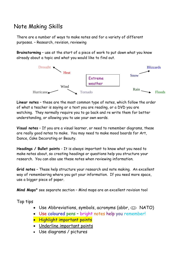### Note Making Skills

There are a number of ways to make notes and for a variety of different purposes. – Research, revision, reviewing

**Brainstorming** – use at the start of a piece of work to put down what you know already about a topic and what you would like to find out.



**Linear notes** – these are the most common type of notes, which follow the order of what a teacher is saying or a text you are reading, or a DVD you are watching. They normally require you to go back and re write them for better understanding, or allowing you to use your own words.

**Visual notes** – If you are a visual learner, or need to remember diagrams, these are really good notes to make. You may need to make mood boards for Art, Dance, Cake Decorating or Beauty.

**Headings / Bullet points** - It is always important to know what you need to make notes about, so creating headings or questions help you structure your research. You can also use these notes when reviewing information.

**Grid notes** – These help structure your research and note making. An excellent way of remembering where you got your information. If you need more space, use a bigger piece of paper.

**Mind Maps**\* see separate section – Mind maps are an excellent revision tool

Top tips

- Use Abbreviations, symbols, acronyms (abbr,  $\odot$  NATO)
- Use coloured pens bright notes help you remember!
- Highlight important points
- Underline important points
- Use diagrams / pictures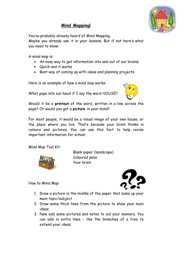

#### **Mind Mapping!**

You've probably already heard of Mind Mapping.

 Maybe you already use it in your lessons. But if not here's what you need to know:

A mind map is:

- An easy way to get information into and out of our brains.
- Quick and it works
- $\bullet$   $\;$  Best way of coming up with ideas and planning projects.

Here is an example of how a mind map works:

What pops into our head if I say the word HOUSE?



 Would it be a **printout** of the word, written in a line across the  $\overline{\phantom{a}}$ page? Or would you get a **picture** in your mind?

 $\overline{a}$  For most people, it would be a visual image of your own house, or the place where you live. That's because your brain thinks in colours and pictures. You can use this fact to help revise important information for school .

Mind Map Tool Kit:



 Blank paper (landscape) Coloured pens Your brain

How to Mind Map:



- t. 1. Draw a picture in the middle of the paper that sums up your main topic/subject.
- $\mathbf{r}$  2. Draw some thick lines from the picture to show your main ideas.
- 3. Now add some pictures and notes to aid your memory. You can add in extra lines – like the branches of a tree to extend your ideas.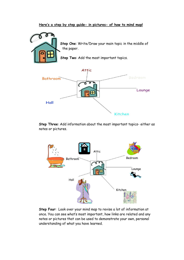#### **Here's a step by step guide- in pictures- of how to mind map!**



**Step One**: Write/Draw your main topic in the middle of

**Step Two**: Add the most important topics.



**Step Three**: Add information about the most important topics- either as notes or pictures.



**Step Four**: Look over your mind map to revise a lot of information at once. You can see what's most important, how links are related and any notes or pictures that can be used to demonstrate your own, personal understanding of what you have learned.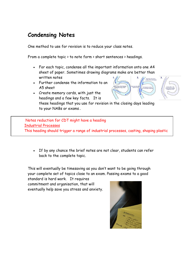# **Condensing Notes**

One method to use for revision is to reduce your class notes.

From a complete topic > to note form > short sentences > headings.

- For each topic, condense all the important information onto one A4 sheet of paper. Sometimes drawing diagrams make are better than written notes
- Further condense the information to an A5 sheet
- Create memory cards, with just the headings and a few key facts. It is



these headings that you use for revision in the closing days leading to your NABs or exams.

Notes reduction for CDT might have a heading Industrial Processes This heading should trigger a range of industrial processes, casting, shaping plastic

 If by any chance the brief notes are not clear, students can refer back to the complete topic.

This will eventually be timesaving as you don't want to be going through your complete set of topics close to an exam. Passing exams to a good

standard is hard work. It requires commitment and organisation, that will eventually help save you stress and anxiety.

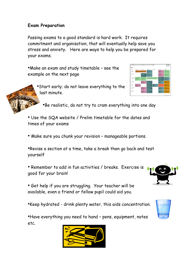#### **Exam Preparation**

Passing exams to a good standard is hard work. It requires commitment and organisation, that will eventually help save you stress and anxiety. Here are ways to help you be prepared for your exams.

•Make an exam and study timetable – see the example on the next page





•Be realistic, do not try to cram everything into one day

- Use the SQA website / Prelim timetable for the dates and times of your exams
- Make sure you chunk your revision manageable portions.

•Revise a section at a time, take a break then go back and test yourself

• Remember to add in fun activities / breaks. Exercise is good for your brain!

• Get help if you are struggling. Your teacher will be available, even a friend or fellow pupil could aid you.

•Keep hydrated - drink plenty water, this aids concentration.

•Have everything you need to hand – pens, equipment, notes etc.





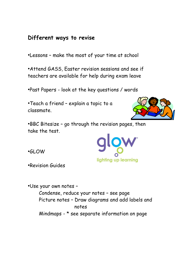#### **Different ways to revise**

•Lessons – make the most of your time at school

•Attend GASS, Easter revision sessions and see if teachers are available for help during exam leave

•Past Papers - look at the key questions / words

•Teach a friend – explain a topic to a classmate.



•BBC Bitesize – go through the revision pages, then take the test.

•GLOW

lighting up learning

•Revision Guides

•Use your own notes – Condense, reduce your notes – see page Picture notes – Draw diagrams and add labels and notes Mindmaps - \* see separate information on page